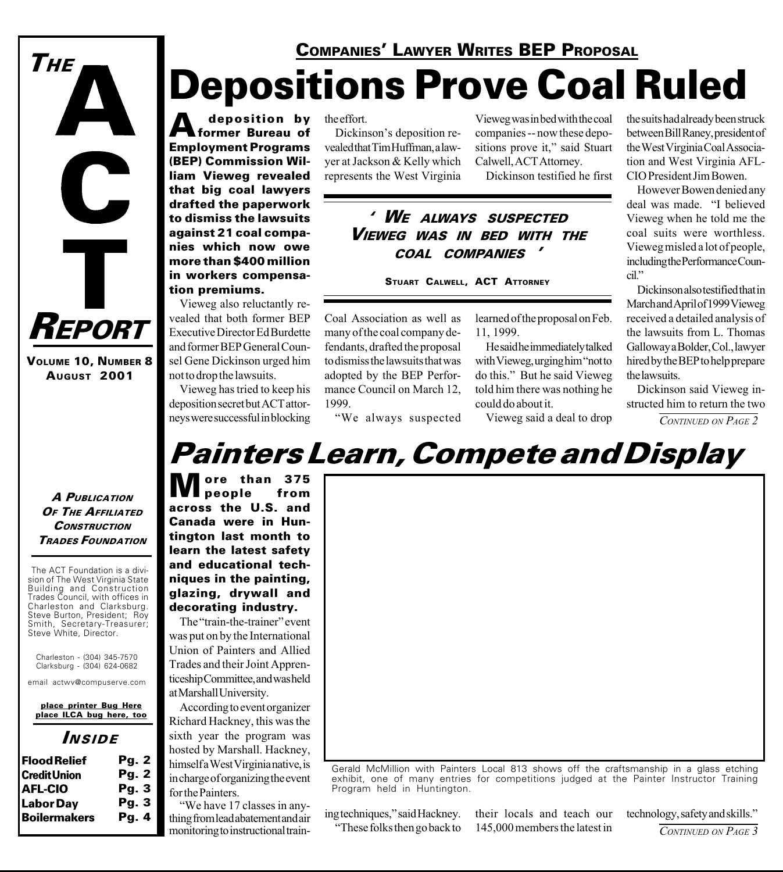# Depositions Prove Coal Ruled **COMPANIES' LAWYER WRITES BEP PROPOSAL**

A deposition by<br> **A** former Bureau of Employment Programs (BEP) Commission William Vieweg revealed that big coal lawyers drafted the paperwork to dismiss the lawsuits against 21 coal companies which now owe more than \$400 million in workers compensation premiums.

Vieweg also reluctantly revealed that both former BEP Executive Director Ed Burdette and former BEP General Counsel Gene Dickinson urged him not to drop the lawsuits.

Vieweg has tried to keep his deposition secret but ACT attorneys were successful in blocking

the effort.

1999.

Dickinson's deposition revealed that Tim Huffman, a lawyer at Jackson & Kelly which represents the West Virginia

fendants, drafted the proposal to dismiss the lawsuits that was adopted by the BEP Performance Council on March 12,

We always suspected

Vieweg was in bed with the coal companies -- now these depositions prove it," said Stuart Calwell, ACT Attorney.

Dickinson testified he first

#### WE ALWAYS SUSPECTED VIEWEG WAS IN BED WITH THE COAL COMPANIES

STUART CALWELL, ACT ATTORNEY

Coal Association as well as many of the coal company delearned of the proposal on Feb. 11, 1999.

> He said he immediately talked with Vieweg, urging him "not to" do this." But he said Vieweg told him there was nothing he could do about it.

Vieweg said a deal to drop

the suits had already been struck between Bill Raney, president of the West Virginia Coal Association and West Virginia AFL-CIO President Jim Bowen.

However Bowen denied any deal was made. "I believed Vieweg when he told me the coal suits were worthless. Vieweg misled a lot of people, including the Performance Council.

Dickinson also testified that in March and April of 1999 Vieweg received a detailed analysis of the lawsuits from L. Thomas Galloway a Bolder, Col., lawyer hired by the BEP to help prepare the lawsuits.

Dickinson said Vieweg instructed him to return the two

CONTINUED ON PAGE 2

### Painters Learn, Compete and Display

A PUBLICATION OF THE AFFILIATED **CONSTRUCTION** TRADES FOUNDATION

REPORT

 $\mathbf{C}$ 

VOLUME 10, NUMBER 8 AUGUST 2001

THE

The ACT Foundation is a division of The West Virginia State Building and Construction Trades Council, with offices in Charleston and Clarksburg. Steve Burton, President; Roy Smith, Secretary-Treasurer; Steve White, Director.

Charleston - (304) 345-7570 Clarksburg - (304) 624-0682

email actwv@compuserve.com

place printer Bug Here place ILCA bug here, too

#### INSIDE

| <b>Flood Relief</b> | Pg. 2 |
|---------------------|-------|
| <b>Credit Union</b> | Pg. 2 |
| <b>AFL-CIO</b>      | Pg.3  |
| <b>LaborDay</b>     | Pg.3  |
| <b>Boilermakers</b> | Pq.4  |

ore than 375<br>people from people across the U.S. and Canada were in Huntington last month to learn the latest safety and educational techniques in the painting, glazing, drywall and decorating industry.

The "train-the-trainer" event was put on by the International Union of Painters and Allied Trades and their Joint Apprenticeship Committee, and was held at Marshall University.

According to event organizer Richard Hackney, this was the sixth year the program was hosted by Marshall. Hackney, himself a West Virginia native, is in charge of organizing the event for the Painters.

We have 17 classes in anything from lead abatement and air monitoring to instructional train-



Gerald McMillion with Painters Local 813 shows off the craftsmanship in a glass etching exhibit, one of many entries for competitions judged at the Painter Instructor Training Program held in Huntington.

ing techniques," said Hackney. These folks then go back to their locals and teach our 145,000 members the latest in technology, safety and skills. CONTINUED ON PAGE 3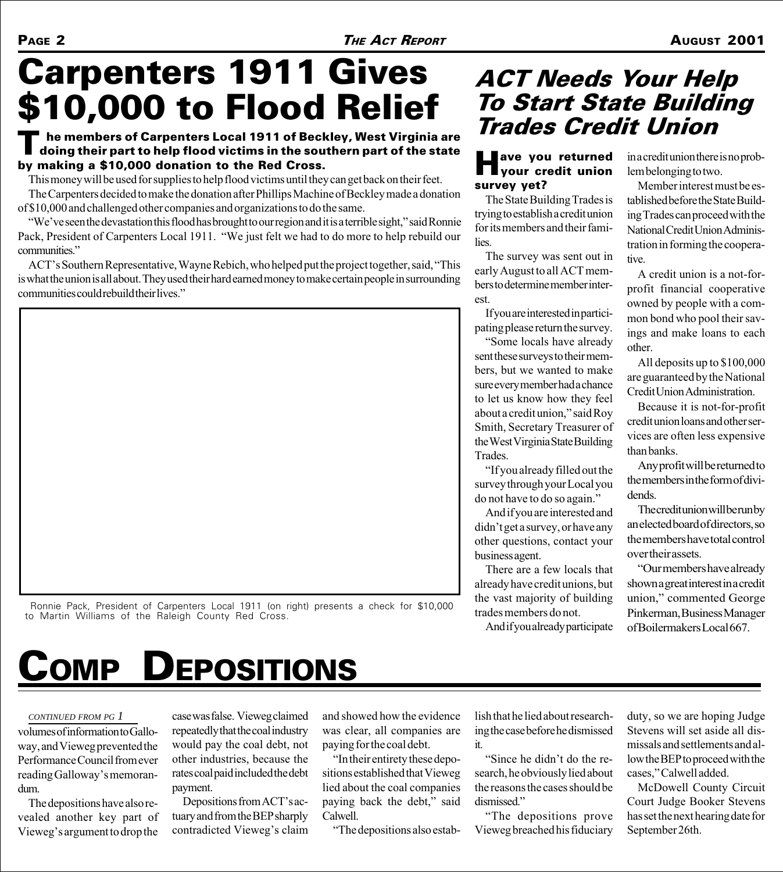# Carpenters 1911 Gives \$10,000 to Flood Relief

#### $\blacksquare$  he members of Carpenters Local 1911 of Beckley, West Virginia are doing their part to help flood victims in the southern part of the state by making a \$10,000 donation to the Red Cross.

This money will be used for supplies to help flood victims until they can get back on their feet.

The Carpenters decided to make the donation after Phillips Machine of Beckley made a donation of \$10,000 and challenged other companies and organizations to do the same.

"We've seen the devastation this flood has brought to our region and it is a terrible sight," said Ronnie Pack, President of Carpenters Local 1911. "We just felt we had to do more to help rebuild our communities.

ACT's Southern Representative, Wayne Rebich, who helped put the project together, said, "This is what the union is all about. They used their hard earned money to make certain people in surrounding communities could rebuild their lives.



 Ronnie Pack, President of Carpenters Local 1911 (on right) presents a check for \$10,000 to Martin Williams of the Raleigh County Red Cross.

# COMP DEPOSITIONS

volumes of information to Galloway, and Vieweg prevented the Performance Council from ever reading Galloway's memorandum.

The depositions have also revealed another key part of Vieweg's argument to drop the

*CONTINUED FROM PG 1* case was false. Vieweg claimed repeatedly that the coal industry would pay the coal debt, not other industries, because the rates coal paid included the debt payment.

> Depositions from ACT's actuary and from the BEP sharply contradicted Vieweg's claim

and showed how the evidence was clear, all companies are paying for the coal debt.

In their entirety these depositions established that Vieweg lied about the coal companies paying back the debt," said Calwell.

The depositions also estab-

### ACT Needs Your Help To Start State Building Trades Credit Union

#### **Have you returned**<br>
your credit union survey yet?

The State Building Trades is trying to establish a credit union for its members and their families.

The survey was sent out in early August to all ACT members to determine member interest.

If you are interested in participating please return the survey.

Some locals have already sent these surveys to their members, but we wanted to make sure every member had a chance to let us know how they feel about a credit union," said Roy Smith, Secretary Treasurer of the West Virginia State Building Trades.

If you already filled out the survey through your Local you do not have to do so again.

And if you are interested and didn't get a survey, or have any other questions, contact your business agent.

There are a few locals that already have credit unions, but the vast majority of building trades members do not.

And if you already participate

lish that he lied about researching the case before he dismissed

"Since he didn't do the research, he obviously lied about the reasons the cases should be

The depositions prove Vieweg breached his fiduciary

it.

dismissed."

in a credit union there is no problem belonging to two.

Member interest must be established before the State Building Trades can proceed with the National Credit Union Administration in forming the cooperative.

A credit union is a not-forprofit financial cooperative owned by people with a common bond who pool their savings and make loans to each other.

All deposits up to \$100,000 are guaranteed by the National Credit Union Administration.

Because it is not-for-profit credit union loans and other services are often less expensive than banks.

Any profit will be returned to the members in the form of dividends.

The credit union will be run by an elected board of directors, so the members have total control over their assets.

Our members have already shown a great interest in a credit union," commented George Pinkerman, Business Manager of Boilermakers Local 667.

duty, so we are hoping Judge Stevens will set aside all dismissals and settlements and allow the BEP to proceed with the cases," Calwell added.

McDowell County Circuit Court Judge Booker Stevens has set the next hearing date for September 26th.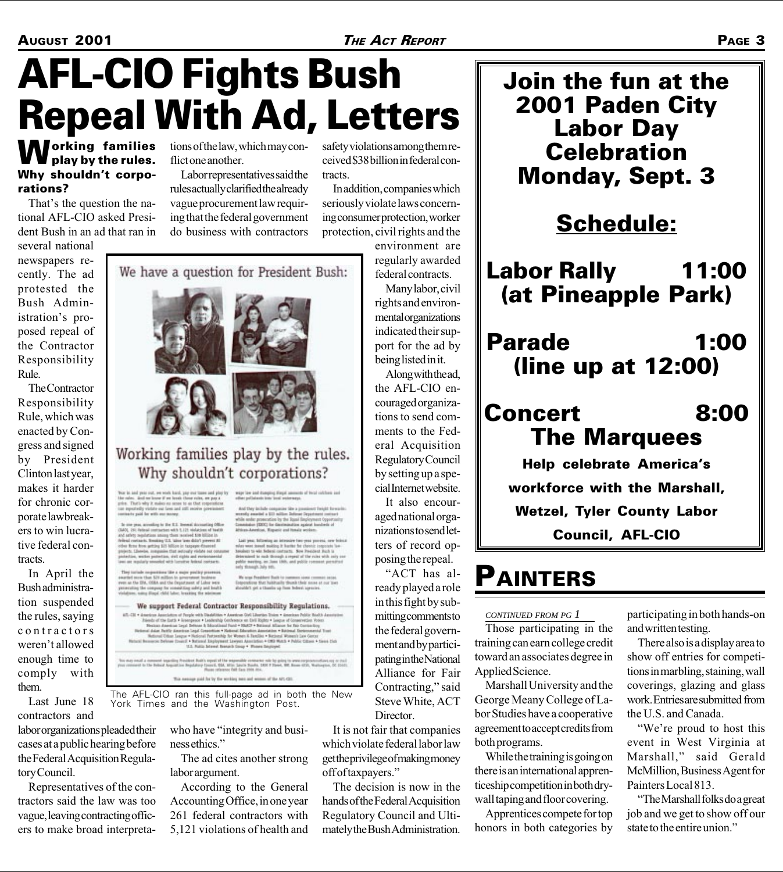# AFL-CIO Fights Bush Repeal With Ad, Letters

#### **Working families** play by the rules. Why shouldn't corporations?

That's the question the national AFL-CIO asked President Bush in an ad that ran in

several national newspapers recently. The ad protested the Bush Administration's proposed repeal of the Contractor Responsibility Rule.

The Contractor Responsibility Rule, which was enacted by Congress and signed by President Clinton last year, makes it harder for chronic corporate lawbreakers to win lucrative federal contracts.

In April the Bush administration suspended the rules, saying contractors weren't allowed enough time to comply with them.

Last June 18 contractors and

labor organizations pleaded their cases at a public hearing before the Federal Acquisition Regulatory Council.

Representatives of the contractors said the law was too vague, leaving contracting officers to make broad interpretations of the law, which may conflict one another.

Labor representatives said the rules actually clarified the already vague procurement law requiring that the federal government do business with contractors

We have a question for President Bush:

safety violations among them received \$38 billion in federal contracts.

In addition, companies which seriously violate laws concerning consumer protection, worker protection, civil rights and the

environment are regularly awarded federal contracts.

Many labor, civil rights and environmental organizations indicated their support for the ad by being listed in it.

Along with the ad, the AFL-CIO encouraged organizations to send comments to the Federal Acquisition Regulatory Council by setting up a special Internet website.

It also encouraged national organizations to send letters of record opposing the repeal.

ACT has already played a role in this fight by submitting comments to the federal government and by participating in the National Alliance for Fair Contracting," said Steve White, ACT Director.

It is not fair that companies which violate federal labor law get the privilege of making money off of taxpayers."

The decision is now in the hands of the Federal Acquisition Regulatory Council and Ultimately the Bush Administration.



Join the fun at the

### PAINTERS

#### *CONTINUED FROM PG 1*

Those participating in the training can earn college credit toward an associates degree in Applied Science.

Marshall University and the George Meany College of Labor Studies have a cooperative agreement to accept credits from both programs.

While the training is going on there is an international apprenticeship competition in both drywall taping and floor covering.

Apprentices compete for top honors in both categories by participating in both hands-on and written testing.

There also is a display area to show off entries for competitions in marbling, staining, wall coverings, glazing and glass work. Entries are submitted from the U.S. and Canada.

"We're proud to host this event in West Virginia at Marshall," said Gerald McMillion, Business Agent for Painters Local 813.

The Marshall folks do a great job and we get to show off our state to the entire union.

network of Laker sens<br>Attag substy and book of the forth is in

We support Federal Contractor Responsibility Regulations.

The AFL-CIO ran this full-page ad in both the New York Times and the Washington Post.

> who have "integrity and business ethics.

The ad cites another strong labor argument.

According to the General Accounting Office, in one year 261 federal contractors with 5,121 violations of health and

Working families play by the rules. Why shouldn't corporations? ales. And we have if we least those rules, we pay a<br>That's why it makes as sense to as that composition<br>speakedly violate our laws and still receive powerinies And they include comparise like a  $\mu$  <br>recently assault a \$13 million links and the protection by the ligant  $1$ <br>consisting (DDC) for disorderation a by the Spool for arresting to the U.S. freemal decousting Office<br>Goal contractors with U.I.21 violations of booth<br>publican anisoty than monitors DO billion in<br>the Newtony O.S. wine data process on the system of<br>the component that restrainl at. Equatic and Henala and

e that habitually thunk their some at our line<br>et a thunke up from beheat agencies.

as gold for by the working men and women of the APL-CE